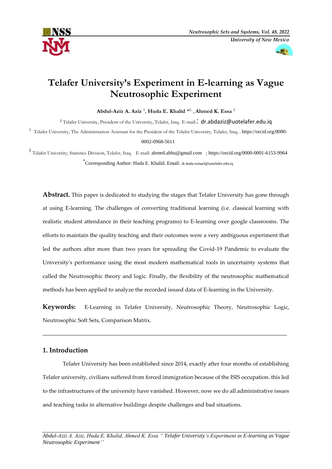



# **Telafer University's Experiment in E-learning as Vague Neutrosophic Experiment**

**Abdul-Aziz A. Aziz** <sup>1</sup> , **Huda E. Khalid** \* 2. , **Ahmed K. Essa** <sup>3</sup>

<sup>1</sup> Telafer University, President of the University, Telafer, Iraq. E-mail: [dr.abdaziz@uotelafer.edu.iq](mailto:dr.abdaziz@uotelafer.edu.iq)

<sup>2</sup> Telafer University, The Administration Assistant for the President of the Telafer University, Telafer, Iraq.: [https://orcid.org/0000-](https://orcid.org/0000-0002-0968-5611)

[0002-0968-5611](https://orcid.org/0000-0002-0968-5611)

3 Telafer University, Statistics Division, Telafer, Iraq. E-mail: [ahmed.ahhu@gmail.com](mailto:ahmed.ahhu@gmail.com) ; <https://orcid.org/0000-0001-6153-9964> \* Corresponding Author: Huda E. Khalid. Email: [dr.huda-ismael@uotelafer.edu.iq](mailto:dr.huda-ismael@uotelafer.edu.iq)

**Abstract.** This paper is dedicated to studying the stages that Telafer University has gone through at using E-learning. The challenges of converting traditional learning (i.e. classical learning with realistic student attendance in their teaching programs) to E-learning over google classrooms. The efforts to maintain the quality teaching and their outcomes were a very ambiguous experiment that led the authors after more than two years for spreading the Covid-19 Pandemic to evaluate the University's performance using the most modern mathematical tools in uncertainty systems that called the Neutrosophic theory and logic. Finally, the flexibility of the neutrosophic mathematical methods has been applied to analyze the recorded issued data of E-learning in the University.

**Keywords:** E-Learning in Telafer University, Neutrosophic Theory, Neutrosophic Logic, Neutrosophic Soft Sets, Comparison Matrix.

\_\_\_\_\_\_\_\_\_\_\_\_\_\_\_\_\_\_\_\_\_\_\_\_\_\_\_\_\_\_\_\_\_\_\_\_\_\_\_\_\_\_\_\_\_\_\_\_\_\_\_\_\_\_\_\_\_\_\_\_\_\_\_\_\_\_\_\_\_\_\_\_\_

# **1. Introduction**

Telafer University has been established since 2014, exactly after four months of establishing Telafer university, civilians suffered from forced immigration because of the ISIS occupation. this led to the infrastructures of the university have vanished. However, now we do all administrative issues and teaching tasks in alternative buildings despite challenges and bad situations.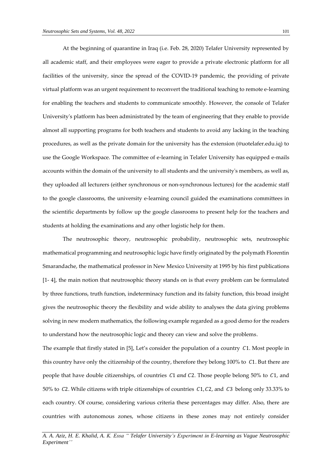At the beginning of quarantine in Iraq (i.e. Feb. 28, 2020) Telafer University represented by all academic staff, and their employees were eager to provide a private electronic platform for all facilities of the university, since the spread of the COVID-19 pandemic, the providing of private virtual platform was an urgent requirement to reconvert the traditional teaching to remote e-learning for enabling the teachers and students to communicate smoothly. However, the console of Telafer University's platform has been administrated by the team of engineering that they enable to provide almost all supporting programs for both teachers and students to avoid any lacking in the teaching procedures, as well as the private domain for the university has the extension (@uotelafer.edu.iq) to use the Google Workspace. The committee of e-learning in Telafer University has equipped e-mails accounts within the domain of the university to all students and the university's members, as well as, they uploaded all lecturers (either synchronous or non-synchronous lectures) for the academic staff to the google classrooms, the university e-learning council guided the examinations committees in the scientific departments by follow up the google classrooms to present help for the teachers and students at holding the examinations and any other logistic help for them.

The neutrosophic theory, neutrosophic probability, neutrosophic sets, neutrosophic mathematical programming and neutrosophic logic have firstly originated by the polymath Florentin Smarandache, the mathematical professor in New Mexico University at 1995 by his first publications [1- 4], the main notion that neutrosophic theory stands on is that every problem can be formulated by three functions, truth function, indeterminacy function and its falsity function, this broad insight gives the neutrosophic theory the flexibility and wide ability to analyses the data giving problems solving in new modern mathematics, the following example regarded as a good demo for the readers to understand how the neutrosophic logic and theory can view and solve the problems.

The example that firstly stated in [5], Let's consider the population of a country  $C1$ . Most people in this country have only the citizenship of the country, therefore they belong  $100\%$  to  $C1$ . But there are people that have double citizenships, of countries  $C1$  and  $C2$ . Those people belong 50% to  $C1$ , and 50% to  $C2$ . While citizens with triple citizenships of countries  $C1$ ,  $C2$ , and  $C3$  belong only 33.33% to each country. Of course, considering various criteria these percentages may differ. Also, there are countries with autonomous zones, whose citizens in these zones may not entirely consider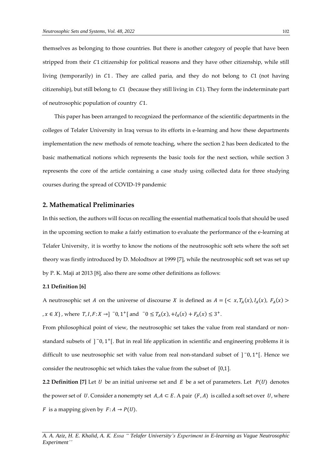themselves as belonging to those countries. But there is another category of people that have been stripped from their C1 citizenship for political reasons and they have other citizenship, while still living (temporarily) in  $C1$ . They are called paria, and they do not belong to  $C1$  (not having citizenship), but still belong to  $C1$  (because they still living in  $C1$ ). They form the indeterminate part of neutrosophic population of country  $C1$ .

This paper has been arranged to recognized the performance of the scientific departments in the colleges of Telafer University in Iraq versus to its efforts in e-learning and how these departments implementation the new methods of remote teaching, where the section 2 has been dedicated to the basic mathematical notions which represents the basic tools for the next section, while section 3 represents the core of the article containing a case study using collected data for three studying courses during the spread of COVID-19 pandemic

## **2. Mathematical Preliminaries**

In this section, the authors will focus on recalling the essential mathematical tools that should be used in the upcoming section to make a fairly estimation to evaluate the performance of the e-learning at Telafer University, it is worthy to know the notions of the neutrosophic soft sets where the soft set theory was firstly introduced by D. Molodtsov at 1999 [7], while the neutrosophic soft set was set up by P. K. Maji at 2013 [8], also there are some other definitions as follows:

#### **2.1 Definition [6]**

A neutrosophic set A on the universe of discourse X is defined as  $A = \{ \langle x, T_A(x), I_A(x), F_A(x) \rangle \}$ , *x* ∈ *X*}, where *T*, *I*, *F*: *X* →] <sup>−</sup>0, 1<sup>+</sup>[ and <sup>−</sup>0 ≤ *T<sub>A</sub>*(*x*), +*I<sub>A</sub>*(*x*) + *F<sub>A</sub>*(*x*) ≤ 3<sup>+</sup>.

From philosophical point of view, the neutrosophic set takes the value from real standard or nonstandard subsets of  $]$ <sup>-</sup>0,1<sup>+</sup>[. But in real life application in scientific and engineering problems it is difficult to use neutrosophic set with value from real non-standard subset of  $]$ <sup>-</sup>0,1<sup>+</sup>[. Hence we consider the neutrosophic set which takes the value from the subset of [0,1].

**2.2 Definition** [7] Let U be an initial universe set and E be a set of parameters. Let  $P(U)$  denotes the power set of U. Consider a nonempty set  $A, A \subset E$ . A pair  $(F, A)$  is called a soft set over U, where *F* is a mapping given by  $F: A \rightarrow P(U)$ .

*A. A. Aziz, H. E. Khalid, A. K. Essa " Telafer University's Experiment in E-learning as Vague Neutrosophic Experiment''*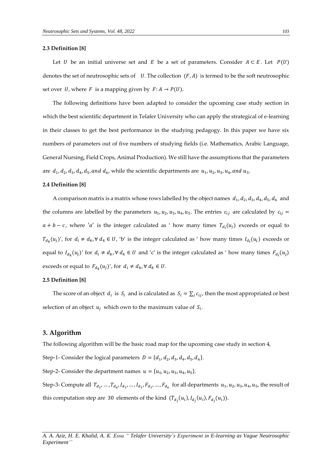#### **2.3 Definition [8]**

Let *U* be an initial universe set and *E* be a set of parameters. Consider  $A \subset E$ . Let  $P(U)$ denotes the set of neutrosophic sets of  $U$ . The collection  $(F, A)$  is termed to be the soft neutrosophic set over U, where F is a mapping given by  $F: A \rightarrow P(U)$ .

The following definitions have been adapted to consider the upcoming case study section in which the best scientific department in Telafer University who can apply the strategical of e-learning in their classes to get the best performance in the studying pedagogy. In this paper we have six numbers of parameters out of five numbers of studying fields (i.e. Mathematics, Arabic Language, General Nursing, Field Crops, Animal Production). We still have the assumptions that the parameters are  $d_1, d_2, d_3, d_4, d_5,$  and  $d_6$ , while the scientific departments are  $u_1, u_2, u_3, u_4,$  and  $u_5$ .

#### **2.4 Definition [8]**

A comparison matrix is a matrix whose rows labelled by the object names  $d_1, d_2, d_3, d_4, d_5, d_6$  and the columns are labelled by the parameters  $u_1, u_2, u_3, u_4, u_5$ . The entries  $c_{ij}$  are calculated by  $c_{ij}$  =  $a + b - c$ , where 'a' is the integer calculated as ' how many times  $T_{d_i}(u_j)$  exceeds or equal to  $T_{d_k}(u_j)'$ , for  $d_i \neq d_k$ ,  $\forall d_k \in U$ , 'b' is the integer calculated as ' how many times  $I_{d_i}(u_j)$  exceeds or equal to  $I_{d_k}(u_j)'$  for  $d_i \neq d_k$ ,  $\forall d_k \in U$  and 'c' is the integer calculated as ' how many times  $F_{d_i}(u_j)$ exceeds or equal to  $F_{d_k}(u_j)'$ , for  $d_i \neq d_k$ ,  $\forall d_k \in U$ .

#### **2.5 Definition [8]**

The score of an object  $d_i$  is  $S_i$  and is calculated as  $S_i = \sum_j c_{ij}$ , then the most appropriated or best selection of an object  $u_j$  which own to the maximum value of  $S_i$ .

## **3. Algorithm**

The following algorithm will be the basic road map for the upcoming case study in section 4,

Step-1- Consider the logical parameters  $D = \{d_1, d_2, d_3, d_4, d_5, d_6\}.$ 

Step-2- Consider the department names  $u = \{u_1, u_2, u_3, u_4, u_5\}$ .

Step-3- Compute all  $T_{d_1},...,T_{d_6},I_{d_1},...,I_{d_1},F_{d_1},...,F_{d_6}$  for all departments  $u_1,u_2,u_3,u_4,u_5$ , the result of this computation step are 30 elements of the kind  $(T_{d_j}(u_i), I_{d_j}(u_i), F_{d_j}(u_i)).$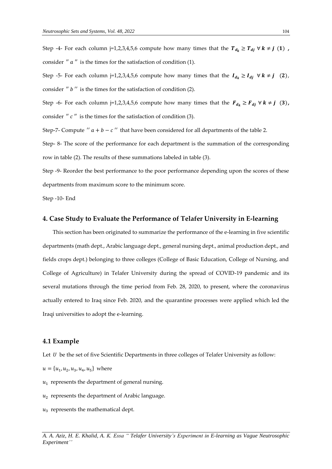Step -4- For each column j=1,2,3,4,5,6 compute how many times that the  $T_{d_k} \ge T_{d_j} \forall k \ne j$  (1), consider  $'' a''$  is the times for the satisfaction of condition (1).

Step -5- For each column j=1,2,3,4,5,6 compute how many times that the  $I_{d_k} \geq I_{di} \ \forall k \neq j \quad (2)$ , consider  $''$   $'$  is the times for the satisfaction of condition (2).

Step -6- For each column j=1,2,3,4,5,6 compute how many times that the  $F_{d_k} \geq F_{d_j} \ \forall \ k \neq j \ (3)$ , consider  $''$   $c$   $''$  is the times for the satisfaction of condition (3).

Step-7- Compute  $'' a + b - c''$  that have been considered for all departments of the table 2.

Step- 8- The score of the performance for each department is the summation of the corresponding row in table (2). The results of these summations labeled in table (3).

Step -9- Reorder the best performance to the poor performance depending upon the scores of these departments from maximum score to the minimum score.

Step -10- End

## **4. Case Study to Evaluate the Performance of Telafer University in E-learning**

This section has been originated to summarize the performance of the e-learning in five scientific departments (math dept., Arabic language dept., general nursing dept., animal production dept., and fields crops dept.) belonging to three colleges (College of Basic Education, College of Nursing, and College of Agriculture) in Telafer University during the spread of COVID-19 pandemic and its several mutations through the time period from Feb. 28, 2020, to present, where the coronavirus actually entered to Iraq since Feb. 2020, and the quarantine processes were applied which led the Iraqi universities to adopt the e-learning.

#### **4.1 Example**

Let  $U$  be the set of five Scientific Departments in three colleges of Telafer University as follow:

- $u = \{u_1, u_2, u_3, u_4, u_5\}$  where
- $u_1$  represents the department of general nursing.
- $\boldsymbol{u_2}$  represents the department of Arabic language.
- $u_3$  represents the mathematical dept.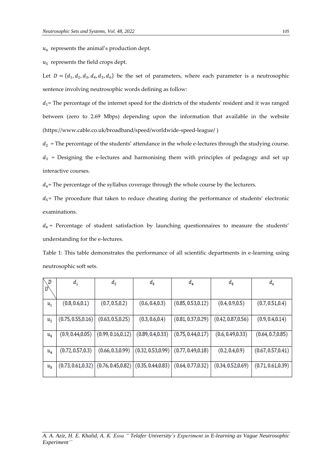4 represents the animal's production dept.

 $u_5$  represents the field crops dept.

Let  $D = \{d_1, d_2, d_3, d_4, d_5, d_6\}$  be the set of parameters, where each parameter is a neutrosophic sentence involving neutrosophic words defining as follow:

 $d_1$ = The percentage of the internet speed for the districts of the students' resident and it was ranged between (zero to 2.69 Mbps) depending upon the information that available in the website [\(https://www.cable.co.uk/broadband/speed/worldwide-speed-league/](https://www.cable.co.uk/broadband/speed/worldwide-speed-league/) )

 $d_2$  = The percentage of the students' attendance in the whole e-lectures through the studying course.

 $d_3$  = Designing the e-lectures and harmonising them with principles of pedagogy and set up interactive courses.

 $d_4$ = The percentage of the syllabus coverage through the whole course by the lecturers.

 $d_5$ = The procedure that taken to reduce cheating during the performance of students' electronic examinations.

 $d_6$  = Percentage of student satisfaction by launching questionnaires to measure the students' understanding for the e-lectures.

Table 1: This table demonstrates the performance of all scientific departments in e-learning using neutrosophic soft sets.

| D           | $d_{1}$            | $d_{2}$                                                                             | $d_{3}$           | $d_4$                                     | $d_{5}$            | $d_6$              |
|-------------|--------------------|-------------------------------------------------------------------------------------|-------------------|-------------------------------------------|--------------------|--------------------|
|             |                    |                                                                                     |                   |                                           |                    |                    |
| $u_{1}$     | (0.8, 0.6, 0.1)    | (0.7, 0.5, 0.2)                                                                     | (0.6, 0.4, 0.3)   | (0.85, 0.53, 0.12)                        | (0.4, 0.9, 0.5)    | (0.7, 0.51, 0.4)   |
| $u_{2}$     | (0.75, 0.55, 0.16) | (0.63, 0.5, 0.25)                                                                   | (0.3, 0.6, 0.4)   | (0.81, 0.37, 0.29)                        | (0.42, 0.87, 0.56) | (0.9, 0.4, 0.14)   |
| $u_{\rm a}$ | (0.9, 0.44, 0.05)  | (0.99, 0.16, 0.12)                                                                  | (0.89, 0.4, 0.33) | (0.75, 0.44, 0.17)                        | (0.6, 0.49, 0.33)  | (0.64, 0.7, 0.85)  |
| $u_{4}$     | (0.72, 0.57, 0.3)  | (0.66, 0.3, 0.99)                                                                   |                   | $(0.32, 0.53, 0.99)   (0.77, 0.49, 0.18)$ | (0.2, 0.4, 0.9)    | (0.67, 0.57, 0.41) |
| $u_{5}$     |                    | $(0.73, 0.61, 0.32)$ $(0.76, 0.45, 0.82)$ $(0.35, 0.44, 0.83)$ $(0.64, 0.77, 0.32)$ |                   |                                           | (0.34, 0.52, 0.69) | (0.71, 0.61, 0.39) |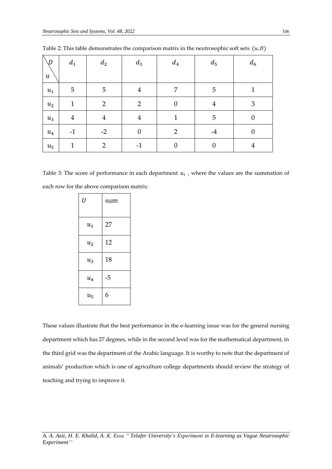| $\setminus D$<br>$\boldsymbol{u}$ | $\boldsymbol{d}_1$ | $d_2$          | $d_3$            | $d_4$            | $d_5$            | $d_6$            |
|-----------------------------------|--------------------|----------------|------------------|------------------|------------------|------------------|
| $u_1$                             | 5                  | 5              | $\overline{4}$   | 7                | 5                | 1                |
| $u_2$                             | $\mathbf{1}$       | $\overline{2}$ | $\overline{2}$   | $\boldsymbol{0}$ | $\overline{4}$   | 3                |
| $u_3$                             | $\overline{4}$     | $\overline{4}$ | $\overline{4}$   | $\mathbf{1}$     | 5                | $\boldsymbol{0}$ |
| $u_4$                             | $-1$               | $-2$           | $\boldsymbol{0}$ | $\overline{2}$   | $-4$             | $\boldsymbol{0}$ |
| $u_5$                             | $\mathbf{1}$       | $\overline{2}$ | $-1$             | $\boldsymbol{0}$ | $\boldsymbol{0}$ | 4                |

Table 2: This table demonstrates the comparison matrix in the neutrosophic soft sets  $(u, D)$ 

Table 3: The score of performance in each department  $u_i$ , where the values are the summation of each row for the above comparison matrix:

| $\boldsymbol{U}$ | sum |
|------------------|-----|
| $u_1$            | 27  |
| $u_2$            | 12  |
| $u_3$            | 18  |
| $u_4$            | -5  |
| $u_{5}$          | 6   |

These values illustrate that the best performance in the e-learning issue was for the general nursing department which has 27 degrees, while in the second level was for the mathematical department, in the third grid was the department of the Arabic language. It is worthy to note that the department of animals' production which is one of agriculture college departments should review the strategy of teaching and trying to improve it.

*A. A. Aziz, H. E. Khalid, A. K. Essa " Telafer University's Experiment in E-learning as Vague Neutrosophic Experiment''*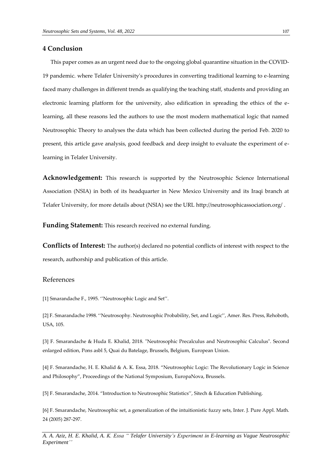# **4 Conclusion**

This paper comes as an urgent need due to the ongoing global quarantine situation in the COVID-19 pandemic. where Telafer University's procedures in converting traditional learning to e-learning faced many challenges in different trends as qualifying the teaching staff, students and providing an electronic learning platform for the university, also edification in spreading the ethics of the elearning, all these reasons led the authors to use the most modern mathematical logic that named Neutrosophic Theory to analyses the data which has been collected during the period Feb. 2020 to present, this article gave analysis, good feedback and deep insight to evaluate the experiment of elearning in Telafer University.

**Acknowledgement:** This research is supported by the Neutrosophic Science International Association (NSIA) in both of its headquarter in New Mexico University and its Iraqi branch at Telafer University, for more details about (NSIA) see the URL<http://neutrosophicassociation.org/> .

**Funding Statement:** This research received no external funding.

**Conflicts of Interest:** The author(s) declared no potential conflicts of interest with respect to the research, authorship and publication of this article.

# References

[1] Smarandache F., 1995. ''Neutrosophic Logic and Set''.

[2] F. Smarandache 1998. ''Neutrosophy. Neutrosophic Probability, Set, and Logic'', Amer. Res. Press, Rehoboth, USA, 105.

[3] F. Smarandache & Huda E. Khalid, 2018. "Neutrosophic Precalculus and Neutrosophic Calculus". Second enlarged edition, Pons asbl 5, Quai du Batelage, Brussels, Belgium, European Union.

[4] F. Smarandache, H. E. Khalid & A. K. Essa, 2018. "Neutrosophic Logic: The Revolutionary Logic in Science and Philosophy", Proceedings of the National Symposium, EuropaNova, Brussels.

[5] F. Smarandache, 2014. "Introduction to Neutrosophic Statistics'', Sitech & Education Publishing.

[6] F. Smarandache, Neutrosophic set, a generalization of the intuitionistic fuzzy sets, Inter. J. Pure Appl. Math. 24 (2005) 287-297.

*A. A. Aziz, H. E. Khalid, A. K. Essa " Telafer University's Experiment in E-learning as Vague Neutrosophic Experiment''*